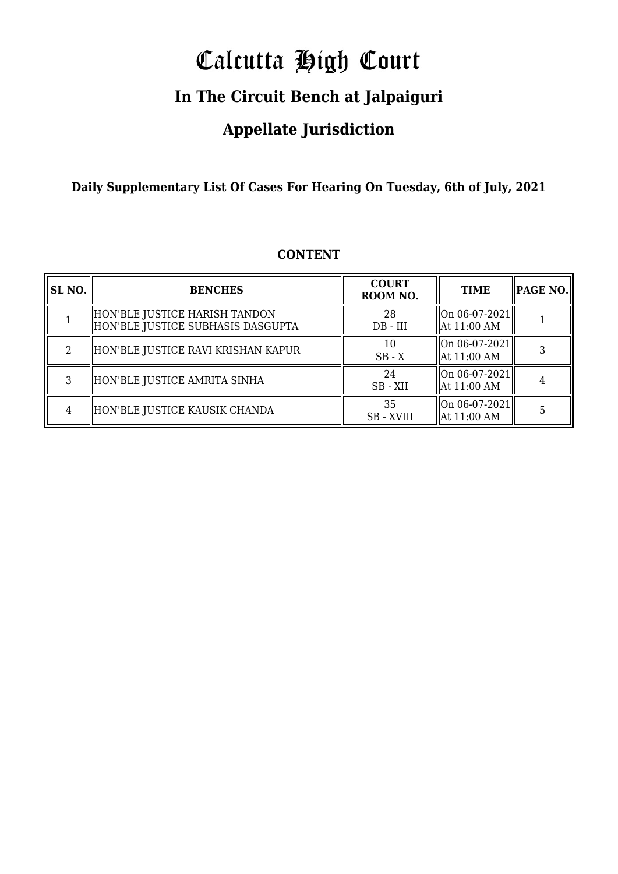# Calcutta High Court

### **In The Circuit Bench at Jalpaiguri**

### **Appellate Jurisdiction**

#### **Daily Supplementary List Of Cases For Hearing On Tuesday, 6th of July, 2021**

| SL NO. | <b>BENCHES</b>                                                       | <b>COURT</b><br>ROOM NO. | <b>TIME</b>                     | <b>PAGE NO.</b> |
|--------|----------------------------------------------------------------------|--------------------------|---------------------------------|-----------------|
|        | HON'BLE JUSTICE HARISH TANDON<br>  HON'BLE JUSTICE SUBHASIS DASGUPTA | 28<br>$DB - III$         | On 06-07-2021<br>  At 11:00 AM  |                 |
| 2      | HON'BLE JUSTICE RAVI KRISHAN KAPUR                                   | 10<br>$SB - X$           | On 06-07-2021 <br>  At 11:00 AM |                 |
| 3      | HON'BLE JUSTICE AMRITA SINHA                                         | 24<br>SB - XII           | On 06-07-2021 <br>  At 11:00 AM |                 |
| 4      | HON'BLE JUSTICE KAUSIK CHANDA                                        | 35<br><b>SB-XVIII</b>    | On 06-07-2021<br>At 11:00 AM    |                 |

#### **CONTENT**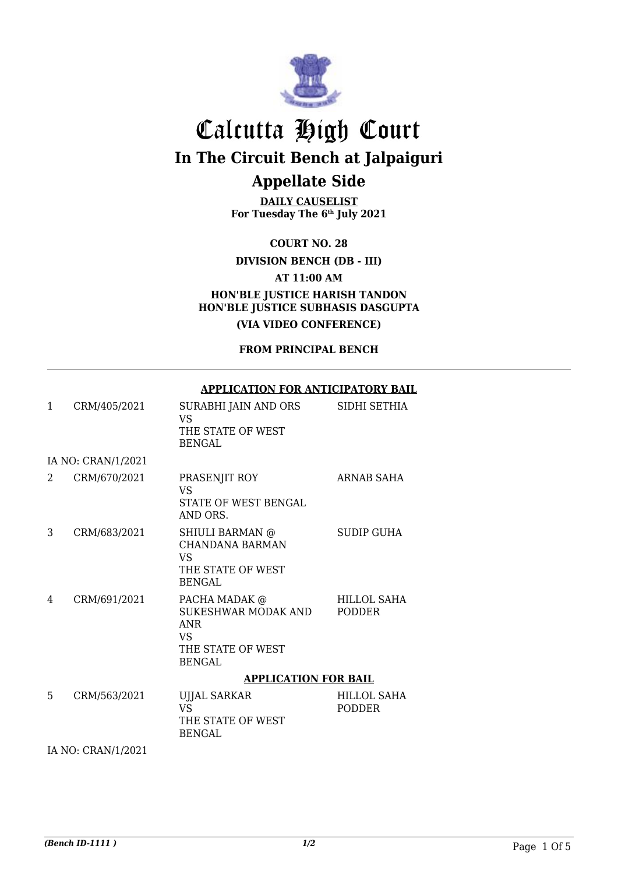

**DAILY CAUSELIST For Tuesday The 6th July 2021**

**COURT NO. 28**

**DIVISION BENCH (DB - III)**

**AT 11:00 AM**

**HON'BLE JUSTICE HARISH TANDON HON'BLE JUSTICE SUBHASIS DASGUPTA (VIA VIDEO CONFERENCE)**

**FROM PRINCIPAL BENCH**

#### **APPLICATION FOR ANTICIPATORY BAIL**

| 1 | CRM/405/2021       | SURABHI JAIN AND ORS<br><b>VS</b><br>THE STATE OF WEST<br><b>BENGAL</b>                        | SIDHI SETHIA                        |
|---|--------------------|------------------------------------------------------------------------------------------------|-------------------------------------|
|   | IA NO: CRAN/1/2021 |                                                                                                |                                     |
| 2 | CRM/670/2021       | PRASENJIT ROY<br><b>VS</b><br><b>STATE OF WEST BENGAL</b><br>AND ORS.                          | ARNAB SAHA                          |
| 3 | CRM/683/2021       | SHIULI BARMAN @<br><b>CHANDANA BARMAN</b><br>VS<br>THE STATE OF WEST<br><b>BENGAL</b>          | SUDIP GUHA                          |
| 4 | CRM/691/2021       | PACHA MADAK @<br>SUKESHWAR MODAK AND<br><b>ANR</b><br>VS<br>THE STATE OF WEST<br><b>BENGAL</b> | HILLOL SAHA<br><b>PODDER</b>        |
|   |                    | <b>APPLICATION FOR BAIL</b>                                                                    |                                     |
| 5 | CRM/563/2021       | <b>UJJAL SARKAR</b><br><b>VS</b><br>THE STATE OF WEST<br><b>BENGAL</b>                         | <b>HILLOL SAHA</b><br><b>PODDER</b> |

IA NO: CRAN/1/2021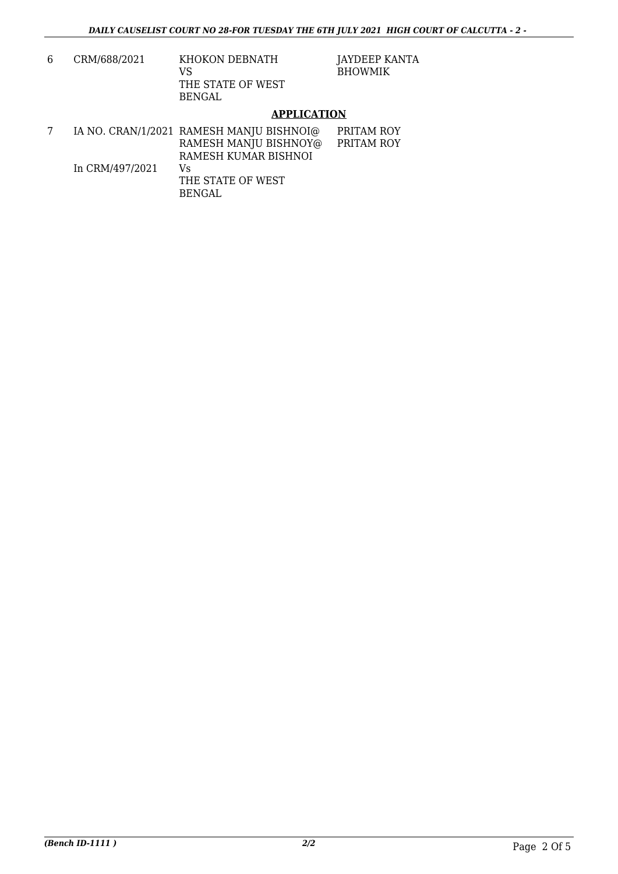| 6. | CRM/688/2021 | KHOKON DEBNATH<br>VS        |
|----|--------------|-----------------------------|
|    |              | THE STATE OF WEST<br>BENGAL |

JAYDEEP KANTA BHOWMIK

#### **APPLICATION**

|                 | IA NO. CRAN/1/2021 RAMESH MANJU BISHNOI@ | PRITAM ROY |
|-----------------|------------------------------------------|------------|
|                 | RAMESH MANJU BISHNOY@                    | PRITAM ROY |
|                 | RAMESH KUMAR BISHNOI                     |            |
| In CRM/497/2021 | Vs                                       |            |
|                 | THE STATE OF WEST                        |            |
|                 | BENGAL.                                  |            |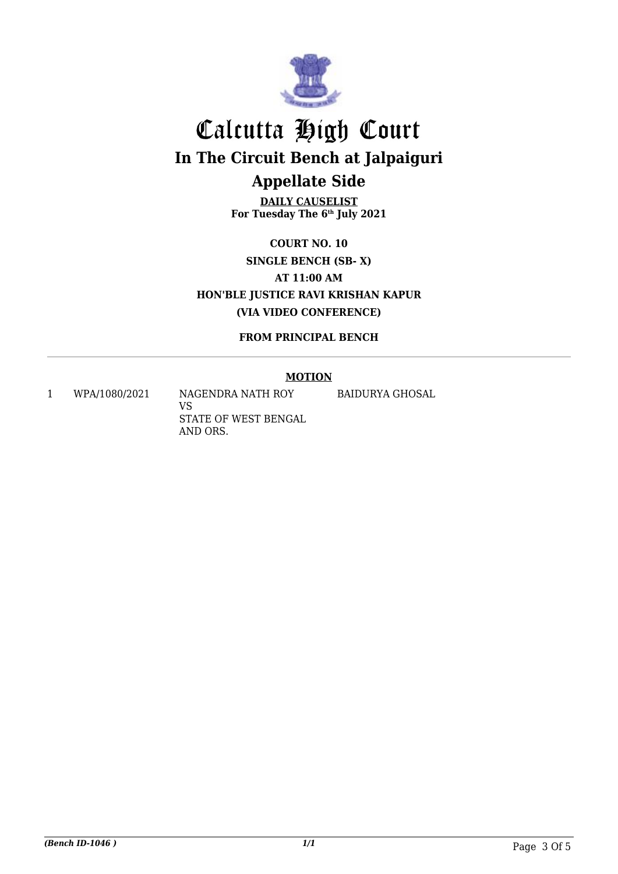

**DAILY CAUSELIST For Tuesday The 6th July 2021**

**COURT NO. 10 SINGLE BENCH (SB- X) AT 11:00 AM HON'BLE JUSTICE RAVI KRISHAN KAPUR (VIA VIDEO CONFERENCE)**

**FROM PRINCIPAL BENCH**

#### **MOTION**

1 WPA/1080/2021 NAGENDRA NATH ROY

VS STATE OF WEST BENGAL AND ORS.

BAIDURYA GHOSAL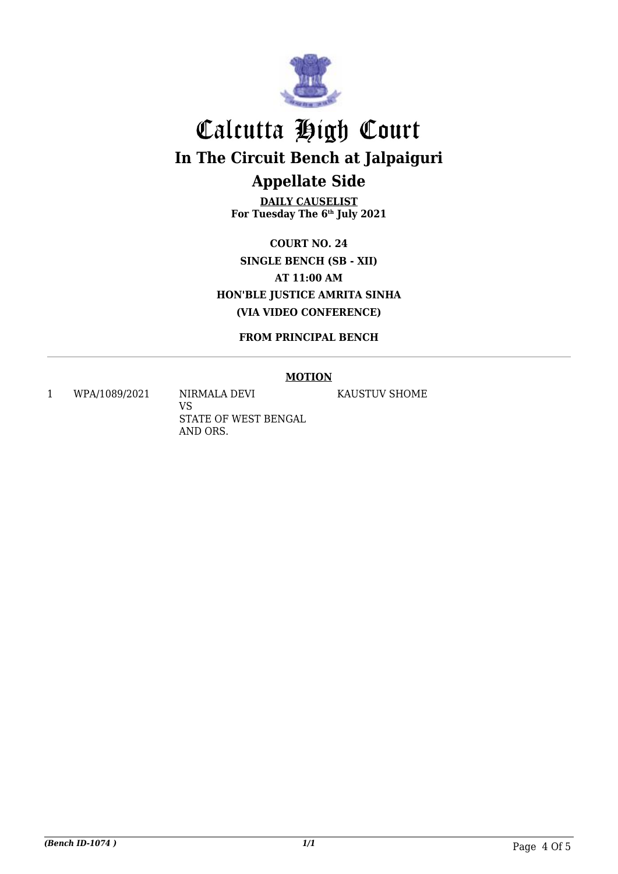

**DAILY CAUSELIST For Tuesday The 6th July 2021**

**COURT NO. 24 SINGLE BENCH (SB - XII) AT 11:00 AM HON'BLE JUSTICE AMRITA SINHA (VIA VIDEO CONFERENCE)**

**FROM PRINCIPAL BENCH**

#### **MOTION**

1 WPA/1089/2021 NIRMALA DEVI

VS STATE OF WEST BENGAL AND ORS.

KAUSTUV SHOME